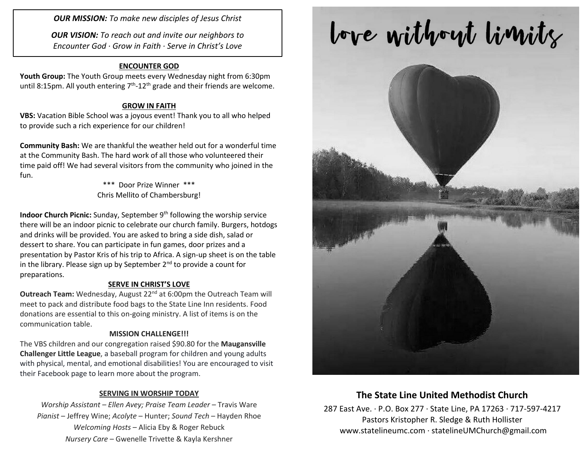*OUR MISSION: To make new disciples of Jesus Christ*

*OUR VISION: To reach out and invite our neighbors to Encounter God · Grow in Faith · Serve in Christ's Love*

### **ENCOUNTER GOD**

**Youth Group:** The Youth Group meets every Wednesday night from 6:30pm until 8:15pm. All youth entering  $7<sup>th</sup>$ -12<sup>th</sup> grade and their friends are welcome.

#### **GROW IN FAITH**

**VBS:** Vacation Bible School was a joyous event! Thank you to all who helped to provide such a rich experience for our children!

**Community Bash:** We are thankful the weather held out for a wonderful time at the Community Bash. The hard work of all those who volunteered their time paid off! We had several visitors from the community who joined in the fun.

> \*\*\* Door Prize Winner \*\*\* Chris Mellito of Chambersburg!

**Indoor Church Picnic:** Sunday, September 9<sup>th</sup> following the worship service there will be an indoor picnic to celebrate our church family. Burgers, hotdogs and drinks will be provided. You are asked to bring a side dish, salad or dessert to share. You can participate in fun games, door prizes and a presentation by Pastor Kris of his trip to Africa. A sign-up sheet is on the table in the library. Please sign up by September  $2^{nd}$  to provide a count for preparations.

#### **SERVE IN CHRIST'S LOVE**

**Outreach Team:** Wednesday, August 22<sup>nd</sup> at 6:00pm the Outreach Team will meet to pack and distribute food bags to the State Line Inn residents. Food donations are essential to this on-going ministry. A list of items is on the communication table.

#### **MISSION CHALLENGE!!!**

The VBS children and our congregation raised \$90.80 for the **Maugansville Challenger Little League**, a baseball program for children and young adults with physical, mental, and emotional disabilities! You are encouraged to visit their Facebook page to learn more about the program.

#### **SERVING IN WORSHIP TODAY**

*Worship Assistant – Ellen Avey; Praise Team Leader* – Travis Ware *Pianist* – Jeffrey Wine; *Acolyte* – Hunter; *Sound Tech* – Hayden Rhoe *Welcoming Hosts* – Alicia Eby & Roger Rebuck *Nursery Care* – Gwenelle Trivette & Kayla Kershner

# love without limits



## **The State Line United Methodist Church**

287 East Ave. · P.O. Box 277 · State Line, PA 17263 · 717-597-4217 Pastors Kristopher R. Sledge & Ruth Hollister [www.statelineumc.com](http://www.statelineumc.com/) · statelineUMChurch@gmail.com